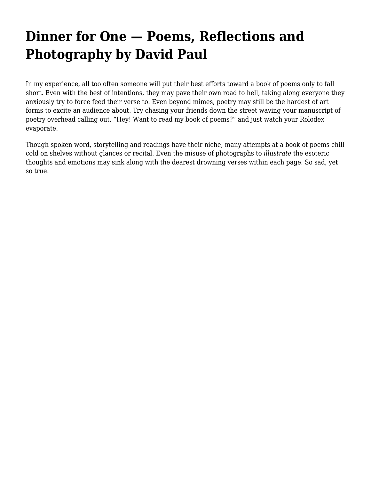## **[Dinner for One — Poems, Reflections and](https://motifri.com/dinner-for-one-poems-reflections-and-photography-by-david-paul/) [Photography by David Paul](https://motifri.com/dinner-for-one-poems-reflections-and-photography-by-david-paul/)**

In my experience, all too often someone will put their best efforts toward a book of poems only to fall short. Even with the best of intentions, they may pave their own road to hell, taking along everyone they anxiously try to force feed their verse to. Even beyond mimes, poetry may still be the hardest of art forms to excite an audience about. Try chasing your friends down the street waving your manuscript of poetry overhead calling out, "Hey! Want to read my book of poems?" and just watch your Rolodex evaporate.

Though spoken word, storytelling and readings have their niche, many attempts at a book of poems chill cold on shelves without glances or recital. Even the misuse of photographs to *illustrate* the esoteric thoughts and emotions may sink along with the dearest drowning verses within each page. So sad, yet so true.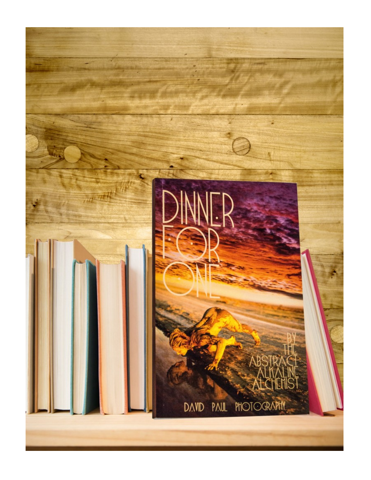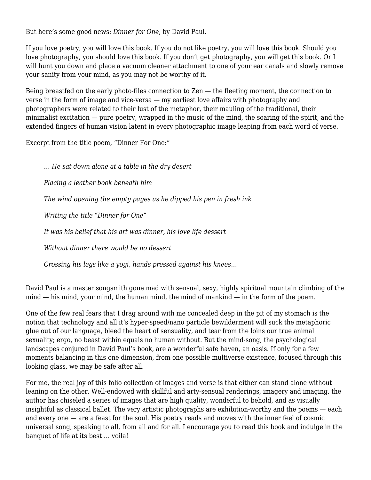But here's some good news: *Dinner for One*, by David Paul.

If you love poetry, you will love this book. If you do not like poetry, you will love this book. Should you love photography, you should love this book. If you don't get photography, you will get this book. Or I will hunt you down and place a vacuum cleaner attachment to one of your ear canals and slowly remove your sanity from your mind, as you may not be worthy of it.

Being breastfed on the early photo-files connection to Zen — the fleeting moment, the connection to verse in the form of image and vice-versa — my earliest love affairs with photography and photographers were related to their lust of the metaphor, their mauling of the traditional, their minimalist excitation — pure poetry, wrapped in the music of the mind, the soaring of the spirit, and the extended fingers of human vision latent in every photographic image leaping from each word of verse.

Excerpt from the title poem, "Dinner For One:"

*… He sat down alone at a table in the dry desert Placing a leather book beneath him The wind opening the empty pages as he dipped his pen in fresh ink Writing the title "Dinner for One" It was his belief that his art was dinner, his love life dessert Without dinner there would be no dessert*

*Crossing his legs like a yogi, hands pressed against his knees…*

David Paul is a master songsmith gone mad with sensual, sexy, highly spiritual mountain climbing of the mind — his mind, your mind, the human mind, the mind of mankind — in the form of the poem.

One of the few real fears that I drag around with me concealed deep in the pit of my stomach is the notion that technology and all it's hyper-speed/nano particle bewilderment will suck the metaphoric glue out of our language, bleed the heart of sensuality, and tear from the loins our true animal sexuality; ergo, no beast within equals no human without. But the mind-song, the psychological landscapes conjured in David Paul's book, are a wonderful safe haven, an oasis. If only for a few moments balancing in this one dimension, from one possible multiverse existence, focused through this looking glass, we may be safe after all.

For me, the real joy of this folio collection of images and verse is that either can stand alone without leaning on the other. Well-endowed with skillful and arty-sensual renderings, imagery and imaging, the author has chiseled a series of images that are high quality, wonderful to behold, and as visually insightful as classical ballet. The very artistic photographs are exhibition-worthy and the poems — each and every one — are a feast for the soul. His poetry reads and moves with the inner feel of cosmic universal song, speaking to all, from all and for all. I encourage you to read this book and indulge in the banquet of life at its best … voila!